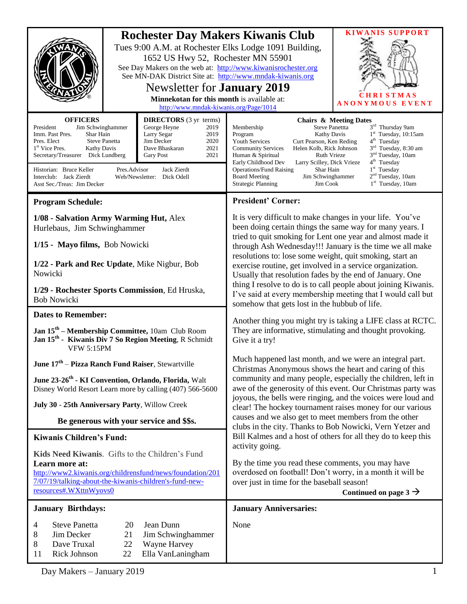| <b>OFFICERS</b>                                                                                                                                                                                                                                                                                                                                                                                                                                                            | 1652 US Hwy 52, Rochester MN 55901<br>See MN-DAK District Site at: http://www.mndak-kiwanis.org<br>Newsletter for <b>January 2019</b><br>Minnekotan for this month is available at:<br>http://www.mndak-kiwanis.org/Page/1014<br><b>DIRECTORS</b> (3 yr terms) | <b>KIWANIS SUPPORT</b><br><b>Rochester Day Makers Kiwanis Club</b><br>Tues 9:00 A.M. at Rochester Elks Lodge 1091 Building,<br>See Day Makers on the web at: http://www.kiwanisrochester.org<br><b>CHRISTMAS</b><br><b>ANONYMOUS EVENT</b><br><b>Chairs &amp; Meeting Dates</b>                                                                                                                                                                                                                                                                                                                                                                                                       |
|----------------------------------------------------------------------------------------------------------------------------------------------------------------------------------------------------------------------------------------------------------------------------------------------------------------------------------------------------------------------------------------------------------------------------------------------------------------------------|----------------------------------------------------------------------------------------------------------------------------------------------------------------------------------------------------------------------------------------------------------------|---------------------------------------------------------------------------------------------------------------------------------------------------------------------------------------------------------------------------------------------------------------------------------------------------------------------------------------------------------------------------------------------------------------------------------------------------------------------------------------------------------------------------------------------------------------------------------------------------------------------------------------------------------------------------------------|
| George Heyne<br>President<br>Jim Schwinghammer<br>2019<br>Imm. Past Pres.<br>Shar Hain<br>Larry Segar<br>2019<br>2020<br>Pres. Elect<br><b>Steve Panetta</b><br>Jim Decker<br>Dave Bhaskaran<br>2021<br>1 <sup>st</sup> Vice Pres.<br><b>Kathy Davis</b><br>Secretary/Treasurer Dick Lundberg<br>2021<br><b>Gary Post</b><br>Jack Zierdt<br>Historian: Bruce Keller<br>Pres.Advisor<br>Interclub: Jack Zierdt<br>Web/Newsletter: Dick Odell<br>Asst Sec./Treas: Jim Decker |                                                                                                                                                                                                                                                                | 3 <sup>rd</sup> Thursday 9am<br><b>Steve Panettta</b><br>Membership<br>1 <sup>st</sup> Tuesday, 10:15am<br>Kathy Davis<br>Program<br>4 <sup>th</sup> Tuesday<br>Curt Pearson, Ken Reding<br><b>Youth Services</b><br>3 <sup>rd</sup> Tuesday, 8:30 am<br>Helen Kolb, Rick Johnson<br><b>Community Services</b><br>3 <sup>nd</sup> Tuesday, 10am<br>Human & Spiritual<br>Ruth Vrieze<br>4 <sup>th</sup> Tuesday<br>Early Childhood Dev<br>Larry Scilley, Dick Vrieze<br>$1st$ Tuesday<br><b>Operations/Fund Raising</b><br>Shar Hain<br>2 <sup>nd</sup> Tuesday, 10am<br>Jim Schwinghammer<br><b>Board Meeting</b><br>$1st$ Tuesday, 10am<br><b>Strategic Planning</b><br>Jim Cook     |
| <b>Program Schedule:</b>                                                                                                                                                                                                                                                                                                                                                                                                                                                   |                                                                                                                                                                                                                                                                | <b>President' Corner:</b>                                                                                                                                                                                                                                                                                                                                                                                                                                                                                                                                                                                                                                                             |
| 1/08 - Salvation Army Warming Hut, Alex<br>Hurlebaus, Jim Schwinghammer                                                                                                                                                                                                                                                                                                                                                                                                    |                                                                                                                                                                                                                                                                | It is very difficult to make changes in your life. You've<br>been doing certain things the same way for many years. I<br>tried to quit smoking for Lent one year and almost made it<br>through Ash Wednesday!!! January is the time we all make<br>resolutions to: lose some weight, quit smoking, start an<br>exercise routine, get involved in a service organization.<br>Usually that resolution fades by the end of January. One<br>thing I resolve to do is to call people about joining Kiwanis.<br>I've said at every membership meeting that I would call but<br>somehow that gets lost in the hubbub of life.<br>Another thing you might try is taking a LIFE class at RCTC. |
| 1/15 - Mayo films, Bob Nowicki                                                                                                                                                                                                                                                                                                                                                                                                                                             |                                                                                                                                                                                                                                                                |                                                                                                                                                                                                                                                                                                                                                                                                                                                                                                                                                                                                                                                                                       |
| 1/22 - Park and Rec Update, Mike Nigbur, Bob<br>Nowicki                                                                                                                                                                                                                                                                                                                                                                                                                    |                                                                                                                                                                                                                                                                |                                                                                                                                                                                                                                                                                                                                                                                                                                                                                                                                                                                                                                                                                       |
| 1/29 - Rochester Sports Commission, Ed Hruska,<br><b>Bob Nowicki</b>                                                                                                                                                                                                                                                                                                                                                                                                       |                                                                                                                                                                                                                                                                |                                                                                                                                                                                                                                                                                                                                                                                                                                                                                                                                                                                                                                                                                       |
| <b>Dates to Remember:</b>                                                                                                                                                                                                                                                                                                                                                                                                                                                  |                                                                                                                                                                                                                                                                |                                                                                                                                                                                                                                                                                                                                                                                                                                                                                                                                                                                                                                                                                       |
| Jan 15 <sup>th</sup> – Membership Committee, 10am Club Room<br>Jan 15 <sup>th</sup> - Kiwanis Div 7 So Region Meeting, R Schmidt<br><b>VFW 5:15PM</b>                                                                                                                                                                                                                                                                                                                      |                                                                                                                                                                                                                                                                | They are informative, stimulating and thought provoking.<br>Give it a try!                                                                                                                                                                                                                                                                                                                                                                                                                                                                                                                                                                                                            |
| June 17 <sup>th</sup> – Pizza Ranch Fund Raiser, Stewartville                                                                                                                                                                                                                                                                                                                                                                                                              |                                                                                                                                                                                                                                                                | Much happened last month, and we were an integral part.<br>Christmas Anonymous shows the heart and caring of this<br>community and many people, especially the children, left in<br>awe of the generosity of this event. Our Christmas party was<br>joyous, the bells were ringing, and the voices were loud and<br>clear! The hockey tournament raises money for our various<br>causes and we also get to meet members from the other<br>clubs in the city. Thanks to Bob Nowicki, Vern Yetzer and<br>Bill Kalmes and a host of others for all they do to keep this                                                                                                                  |
| June 23-26 <sup>th</sup> - KI Convention, Orlando, Florida, Walt<br>Disney World Resort Learn more by calling (407) 566-5600                                                                                                                                                                                                                                                                                                                                               |                                                                                                                                                                                                                                                                |                                                                                                                                                                                                                                                                                                                                                                                                                                                                                                                                                                                                                                                                                       |
| July 30 - 25th Anniversary Party, Willow Creek                                                                                                                                                                                                                                                                                                                                                                                                                             |                                                                                                                                                                                                                                                                |                                                                                                                                                                                                                                                                                                                                                                                                                                                                                                                                                                                                                                                                                       |
| Be generous with your service and \$\$s.                                                                                                                                                                                                                                                                                                                                                                                                                                   |                                                                                                                                                                                                                                                                |                                                                                                                                                                                                                                                                                                                                                                                                                                                                                                                                                                                                                                                                                       |
| <b>Kiwanis Children's Fund:</b>                                                                                                                                                                                                                                                                                                                                                                                                                                            |                                                                                                                                                                                                                                                                |                                                                                                                                                                                                                                                                                                                                                                                                                                                                                                                                                                                                                                                                                       |
| Kids Need Kiwanis. Gifts to the Children's Fund<br>Learn more at:<br>http://www2.kiwanis.org/childrensfund/news/foundation/201<br>7/07/19/talking-about-the-kiwanis-children's-fund-new-<br>resources#.WXttnWyovs0                                                                                                                                                                                                                                                         |                                                                                                                                                                                                                                                                | activity going.<br>By the time you read these comments, you may have<br>overdosed on football! Don't worry, in a month it will be<br>over just in time for the baseball season!<br>Continued on page $3 \rightarrow$                                                                                                                                                                                                                                                                                                                                                                                                                                                                  |
| <b>January Birthdays:</b>                                                                                                                                                                                                                                                                                                                                                                                                                                                  |                                                                                                                                                                                                                                                                | <b>January Anniversaries:</b>                                                                                                                                                                                                                                                                                                                                                                                                                                                                                                                                                                                                                                                         |
| <b>Steve Panetta</b><br>20<br>4<br>8<br>Jim Decker<br>21<br>Dave Truxal<br>22<br>8<br>Rick Johnson<br>22<br>11                                                                                                                                                                                                                                                                                                                                                             | Jean Dunn<br>Jim Schwinghammer<br>Wayne Harvey<br>Ella VanLaningham                                                                                                                                                                                            | None                                                                                                                                                                                                                                                                                                                                                                                                                                                                                                                                                                                                                                                                                  |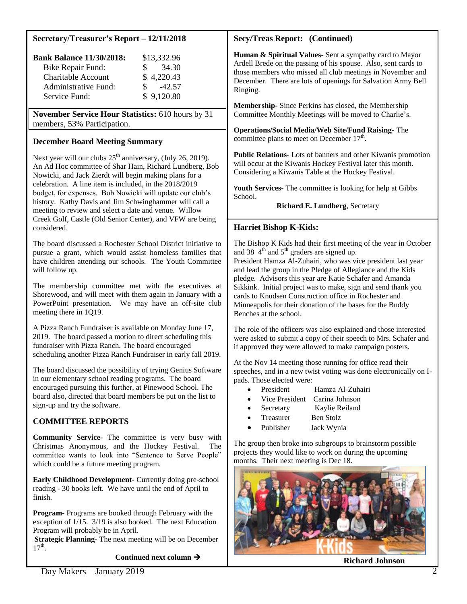### **Secretary/Treasurer's Report – 12/11/2018**

| <b>Bank Balance 11/30/2018:</b> | \$13,332.96    |
|---------------------------------|----------------|
| Bike Repair Fund:               | 34.30<br>SS.   |
| <b>Charitable Account</b>       | \$4,220.43     |
| Administrative Fund:            | $-42.57$<br>S. |
| Service Fund:                   | \$9,120.80     |

**November Service Hour Statistics:** 610 hours by 31 members, 53% Participation.

### **December Board Meeting Summary**

Next year will our clubs  $25<sup>th</sup>$  anniversary, (July 26, 2019). An Ad Hoc committee of Shar Hain, Richard Lundberg, Bob Nowicki, and Jack Zierdt will begin making plans for a celebration. A line item is included, in the 2018/2019 budget, for expenses. Bob Nowicki will update our club's history. Kathy Davis and Jim Schwinghammer will call a meeting to review and select a date and venue. Willow Creek Golf, Castle (Old Senior Center), and VFW are being considered.

The board discussed a Rochester School District initiative to pursue a grant, which would assist homeless families that have children attending our schools. The Youth Committee will follow up.

The membership committee met with the executives at Shorewood, and will meet with them again in January with a PowerPoint presentation. We may have an off-site club meeting there in 1Q19.

A Pizza Ranch Fundraiser is available on Monday June 17, 2019. The board passed a motion to direct scheduling this fundraiser with Pizza Ranch. The board encouraged scheduling another Pizza Ranch Fundraiser in early fall 2019.

The board discussed the possibility of trying Genius Software in our elementary school reading programs. The board encouraged pursuing this further, at Pinewood School. The board also, directed that board members be put on the list to sign-up and try the software.

# **COMMITTEE REPORTS**

**Community Service-** The committee is very busy with Christmas Anonymous, and the Hockey Festival. The committee wants to look into "Sentence to Serve People" which could be a future meeting program.

**Early Childhood Development-** Currently doing pre-school reading - 30 books left. We have until the end of April to finish.

**Program-** Programs are booked through February with the exception of 1/15. 3/19 is also booked. The next Education Program will probably be in April.

**Strategic Planning-** The next meeting will be on December  $17^{th}$ .

**Continued next column** 

## **Secy/Treas Report: (Continued)**

**Human & Spiritual Values-** Sent a sympathy card to Mayor Ardell Brede on the passing of his spouse. Also, sent cards to those members who missed all club meetings in November and December. There are lots of openings for Salvation Army Bell Ringing.

**Membership-** Since Perkins has closed, the Membership Committee Monthly Meetings will be moved to Charlie's.

**Operations/Social Media/Web Site/Fund Raising-** The committee plans to meet on December  $17<sup>th</sup>$ .

**Public Relations-** Lots of banners and other Kiwanis promotion will occur at the Kiwanis Hockey Festival later this month. Considering a Kiwanis Table at the Hockey Festival.

**Youth Services-** The committee is looking for help at Gibbs School.

 **Richard E. Lundberg**, Secretary

### **Harriet Bishop K-Kids:**

The Bishop K Kids had their first meeting of the year in October and 38  $4<sup>th</sup>$  and 5<sup>th</sup> graders are signed up.

President Hamza Al-Zuhairi, who was vice president last year and lead the group in the Pledge of Allegiance and the Kids pledge. Advisors this year are Katie Schafer and Amanda Sikkink. Initial project was to make, sign and send thank you cards to Knudsen Construction office in Rochester and Minneapolis for their donation of the bases for the Buddy Benches at the school.

The role of the officers was also explained and those interested were asked to submit a copy of their speech to Mrs. Schafer and if approved they were allowed to make campaign posters.

At the Nov 14 meeting those running for office read their speeches, and in a new twist voting was done electronically on Ipads. Those elected were:

- President Hamza Al-Zuhairi
- Vice President Carina Johnson
- Secretary Kaylie Reiland
- Treasurer Ben Stolz
- Publisher Jack Wynia

The group then broke into subgroups to brainstorm possible projects they would like to work on during the upcoming months. Their next meeting is Dec 18.



**Richard Johnson**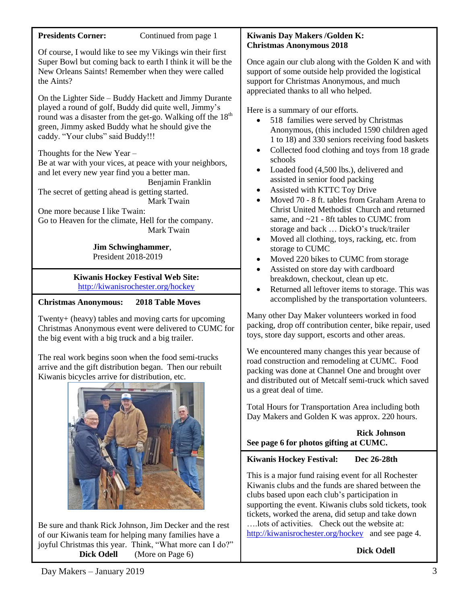| <b>Presidents Corner:</b><br>Continued from page 1                                                                                                                                                                                                                                                                                                                                                                                                                                                                                                                                                                         | Kiwanis Day Makers / Golden K:                                                                                                                                                                                                                                                                                                                                                                                                                                                                                                                                                                                                                                                                                                                                                                                                                                                                                                                                                                                                                                                                                                                                                                     |
|----------------------------------------------------------------------------------------------------------------------------------------------------------------------------------------------------------------------------------------------------------------------------------------------------------------------------------------------------------------------------------------------------------------------------------------------------------------------------------------------------------------------------------------------------------------------------------------------------------------------------|----------------------------------------------------------------------------------------------------------------------------------------------------------------------------------------------------------------------------------------------------------------------------------------------------------------------------------------------------------------------------------------------------------------------------------------------------------------------------------------------------------------------------------------------------------------------------------------------------------------------------------------------------------------------------------------------------------------------------------------------------------------------------------------------------------------------------------------------------------------------------------------------------------------------------------------------------------------------------------------------------------------------------------------------------------------------------------------------------------------------------------------------------------------------------------------------------|
| Of course, I would like to see my Vikings win their first<br>Super Bowl but coming back to earth I think it will be the<br>New Orleans Saints! Remember when they were called<br>the Aints?                                                                                                                                                                                                                                                                                                                                                                                                                                | <b>Christmas Anonymous 2018</b><br>Once again our club along with the Golden K and with<br>support of some outside help provided the logistical<br>support for Christmas Anonymous, and much<br>appreciated thanks to all who helped.<br>Here is a summary of our efforts.<br>518 families were served by Christmas<br>$\bullet$<br>Anonymous, (this included 1590 children aged<br>1 to 18) and 330 seniors receiving food baskets<br>Collected food clothing and toys from 18 grade<br>٠<br>schools<br>Loaded food (4,500 lbs.), delivered and<br>$\bullet$<br>assisted in senior food packing<br>Assisted with KTTC Toy Drive<br>$\bullet$<br>Moved 70 - 8 ft. tables from Graham Arena to<br>$\bullet$<br>Christ United Methodist Church and returned<br>same, and ~21 - 8ft tables to CUMC from<br>storage and back  DickO's truck/trailer<br>Moved all clothing, toys, racking, etc. from<br>$\bullet$<br>storage to CUMC<br>Moved 220 bikes to CUMC from storage<br>$\bullet$<br>Assisted on store day with cardboard<br>$\bullet$<br>breakdown, checkout, clean up etc.<br>Returned all leftover items to storage. This was<br>$\bullet$<br>accomplished by the transportation volunteers. |
| On the Lighter Side – Buddy Hackett and Jimmy Durante<br>played a round of golf, Buddy did quite well, Jimmy's<br>round was a disaster from the get-go. Walking off the 18 <sup>th</sup><br>green, Jimmy asked Buddy what he should give the<br>caddy. "Your clubs" said Buddy!!!<br>Thoughts for the New Year -<br>Be at war with your vices, at peace with your neighbors,<br>and let every new year find you a better man.<br>Benjamin Franklin<br>The secret of getting ahead is getting started.<br>Mark Twain<br>One more because I like Twain:<br>Go to Heaven for the climate, Hell for the company.<br>Mark Twain |                                                                                                                                                                                                                                                                                                                                                                                                                                                                                                                                                                                                                                                                                                                                                                                                                                                                                                                                                                                                                                                                                                                                                                                                    |
| <b>Jim Schwinghammer,</b><br>President 2018-2019                                                                                                                                                                                                                                                                                                                                                                                                                                                                                                                                                                           |                                                                                                                                                                                                                                                                                                                                                                                                                                                                                                                                                                                                                                                                                                                                                                                                                                                                                                                                                                                                                                                                                                                                                                                                    |
| <b>Kiwanis Hockey Festival Web Site:</b><br>http://kiwanisrochester.org/hockey                                                                                                                                                                                                                                                                                                                                                                                                                                                                                                                                             |                                                                                                                                                                                                                                                                                                                                                                                                                                                                                                                                                                                                                                                                                                                                                                                                                                                                                                                                                                                                                                                                                                                                                                                                    |
| <b>Christmas Anonymous:</b><br><b>2018 Table Moves</b>                                                                                                                                                                                                                                                                                                                                                                                                                                                                                                                                                                     |                                                                                                                                                                                                                                                                                                                                                                                                                                                                                                                                                                                                                                                                                                                                                                                                                                                                                                                                                                                                                                                                                                                                                                                                    |
| Twenty+ (heavy) tables and moving carts for upcoming<br>Christmas Anonymous event were delivered to CUMC for<br>the big event with a big truck and a big trailer.                                                                                                                                                                                                                                                                                                                                                                                                                                                          | Many other Day Maker volunteers worked in food<br>packing, drop off contribution center, bike repair, used<br>toys, store day support, escorts and other areas.                                                                                                                                                                                                                                                                                                                                                                                                                                                                                                                                                                                                                                                                                                                                                                                                                                                                                                                                                                                                                                    |
| The real work begins soon when the food semi-trucks<br>arrive and the gift distribution began. Then our rebuilt<br>Kiwanis bicycles arrive for distribution, etc.                                                                                                                                                                                                                                                                                                                                                                                                                                                          | We encountered many changes this year because of<br>road construction and remodeling at CUMC. Food<br>packing was done at Channel One and brought over<br>and distributed out of Metcalf semi-truck which saved<br>us a great deal of time.                                                                                                                                                                                                                                                                                                                                                                                                                                                                                                                                                                                                                                                                                                                                                                                                                                                                                                                                                        |
|                                                                                                                                                                                                                                                                                                                                                                                                                                                                                                                                                                                                                            | Total Hours for Transportation Area including both<br>Day Makers and Golden K was approx. 220 hours.                                                                                                                                                                                                                                                                                                                                                                                                                                                                                                                                                                                                                                                                                                                                                                                                                                                                                                                                                                                                                                                                                               |
|                                                                                                                                                                                                                                                                                                                                                                                                                                                                                                                                                                                                                            | <b>Rick Johnson</b><br>See page 6 for photos gifting at CUMC.                                                                                                                                                                                                                                                                                                                                                                                                                                                                                                                                                                                                                                                                                                                                                                                                                                                                                                                                                                                                                                                                                                                                      |
|                                                                                                                                                                                                                                                                                                                                                                                                                                                                                                                                                                                                                            | <b>Kiwanis Hockey Festival:</b><br>Dec 26-28th                                                                                                                                                                                                                                                                                                                                                                                                                                                                                                                                                                                                                                                                                                                                                                                                                                                                                                                                                                                                                                                                                                                                                     |
|                                                                                                                                                                                                                                                                                                                                                                                                                                                                                                                                                                                                                            | This is a major fund raising event for all Rochester<br>Kiwanis clubs and the funds are shared between the<br>clubs based upon each club's participation in<br>supporting the event. Kiwanis clubs sold tickets, took<br>tickets, worked the arena, did setup and take down                                                                                                                                                                                                                                                                                                                                                                                                                                                                                                                                                                                                                                                                                                                                                                                                                                                                                                                        |
| Be sure and thank Rick Johnson, Jim Decker and the rest                                                                                                                                                                                                                                                                                                                                                                                                                                                                                                                                                                    | lots of activities. Check out the website at:                                                                                                                                                                                                                                                                                                                                                                                                                                                                                                                                                                                                                                                                                                                                                                                                                                                                                                                                                                                                                                                                                                                                                      |

of our Kiwanis team for helping many families have a joyful Christmas this year. Think, "What more can I do?" ….lots of activities. Check out the website at: <http://kiwanisrochester.org/hockey> and see page 4.

**Dick Odell** (More on Page 6)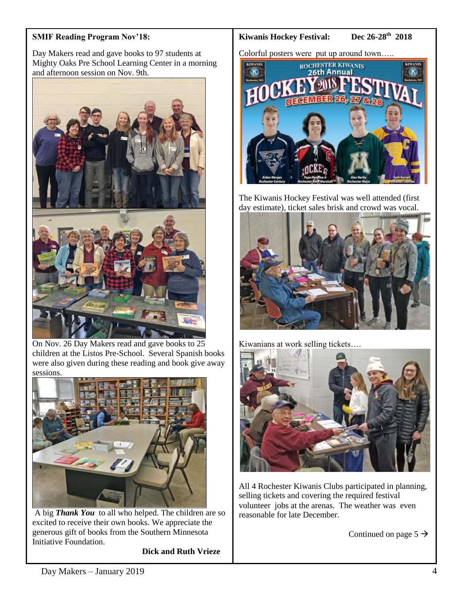## **SMIF Reading Program Nov'18:**

Day Makers read and gave books to 97 students at Mighty Oaks Pre School Learning Center in a morning and afternoon session on Nov. 9th.



On Nov. 26 Day Makers read and gave books to 25 children at the Listos Pre-School. Several Spanish books were also given during these reading and book give away sessions.



A big *Thank You* to all who helped. The children are so excited to receive their own books. We appreciate the generous gift of books from the Southern Minnesota Initiative Foundation.

**Dick and Ruth Vrieze**

#### **Kiwanis Hockey Festival:**

#### Dec 26-28<sup>th</sup> 2018

Colorful posters were put up around town…..



The Kiwanis Hockey Festival was well attended (first day estimate), ticket sales brisk and crowd was vocal.



Kiwanians at work selling tickets….



All 4 Rochester Kiwanis Clubs participated in planning, selling tickets and covering the required festival volunteer jobs at the arenas. The weather was even reasonable for late December.

Continued on page  $5 \rightarrow$ 

L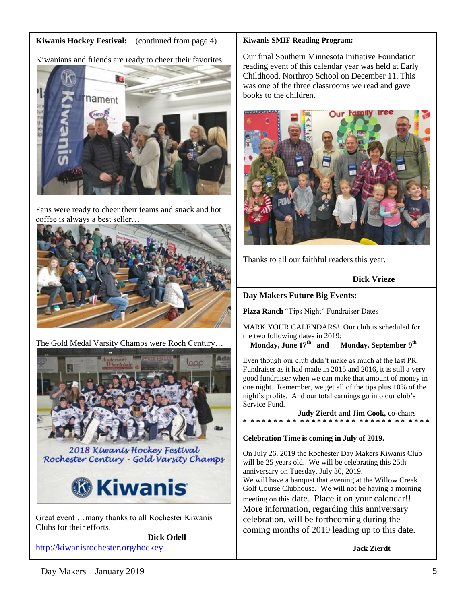## **Kiwanis Hockey Festival:** (continued from page 4)



Fans were ready to cheer their teams and snack and hot coffee is always a best seller…



The Gold Medal Varsity Champs were Roch Century…



2018 Kiwanis Hockey Festival Rochester Century - Gold Varsity Champs



Great event …many thanks to all Rochester Kiwanis Clubs for their efforts.

**Dick Odell** <http://kiwanisrochester.org/hockey>

#### **Kiwanis SMIF Reading Program:**

Our final Southern Minnesota Initiative Foundation reading event of this calendar year was held at Early Childhood, Northrop School on December 11. This was one of the three classrooms we read and gave books to the children.



Thanks to all our faithful readers this year.

**Dick Vrieze**

## **Day Makers Future Big Events:**

**Pizza Ranch** "Tips Night" Fundraiser Dates

MARK YOUR CALENDARS! Our club is scheduled for the two following dates in 2019:

**Monday, June 17th and Monday, September 9th**

Even though our club didn't make as much at the last PR Fundraiser as it had made in 2015 and 2016, it is still a very good fundraiser when we can make that amount of money in one night. Remember, we get all of the tips plus 10% of the night's profits. And our total earnings go into our club's Service Fund.

**Judy Zierdt and Jim Cook,** co-chairs **\* \* \* \* \* \* \* \* \* \* \* \* \* \* \* \* \* \* \* \* \* \* \* \* \* \* \* \* \* \* \***

## **Celebration Time is coming in July of 2019.**

On July 26, 2019 the Rochester Day Makers Kiwanis Club will be 25 years old. We will be celebrating this 25th anniversary on Tuesday, July 30, 2019. We will have a banquet that evening at the Willow Creek Golf Course Clubhouse. We will not be having a morning meeting on this date. Place it on your calendar!! More information, regarding this anniversary celebration, will be forthcoming during the coming months of 2019 leading up to this date.

**Jack Zierdt**